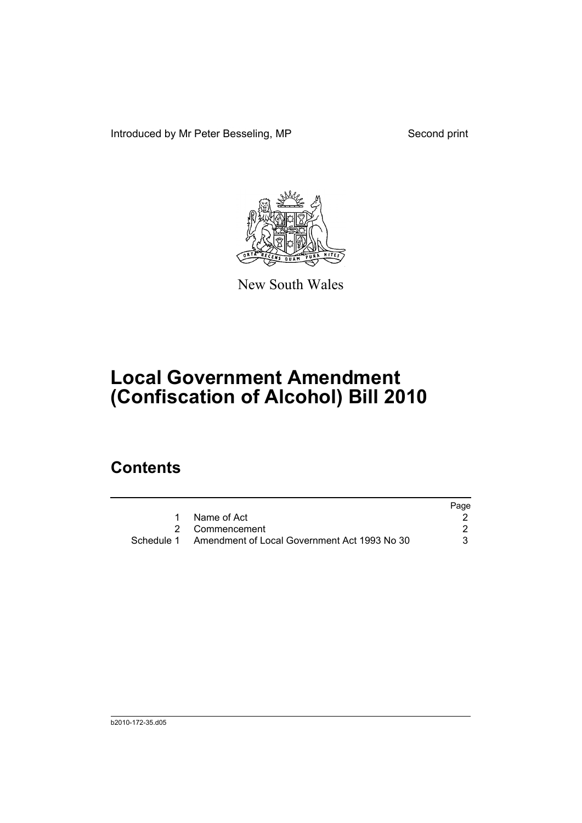Introduced by Mr Peter Besseling, MP Second print



New South Wales

## **Local Government Amendment (Confiscation of Alcohol) Bill 2010**

## **Contents**

|                                                         | Page |
|---------------------------------------------------------|------|
| 1 Name of Act                                           |      |
| 2 Commencement                                          |      |
| Schedule 1 Amendment of Local Government Act 1993 No 30 | 3    |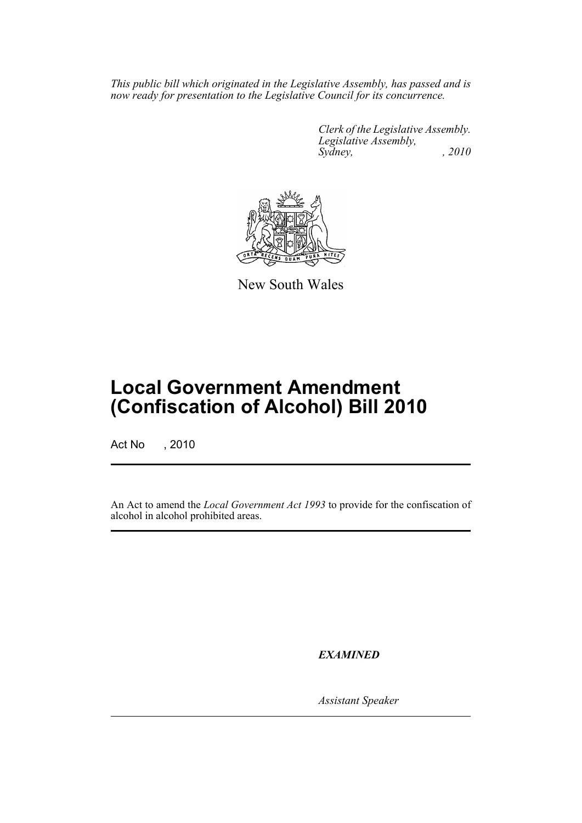*This public bill which originated in the Legislative Assembly, has passed and is now ready for presentation to the Legislative Council for its concurrence.*

> *Clerk of the Legislative Assembly. Legislative Assembly, Sydney,* , 2010



New South Wales

## **Local Government Amendment (Confiscation of Alcohol) Bill 2010**

Act No , 2010

An Act to amend the *Local Government Act 1993* to provide for the confiscation of alcohol in alcohol prohibited areas.

*EXAMINED*

*Assistant Speaker*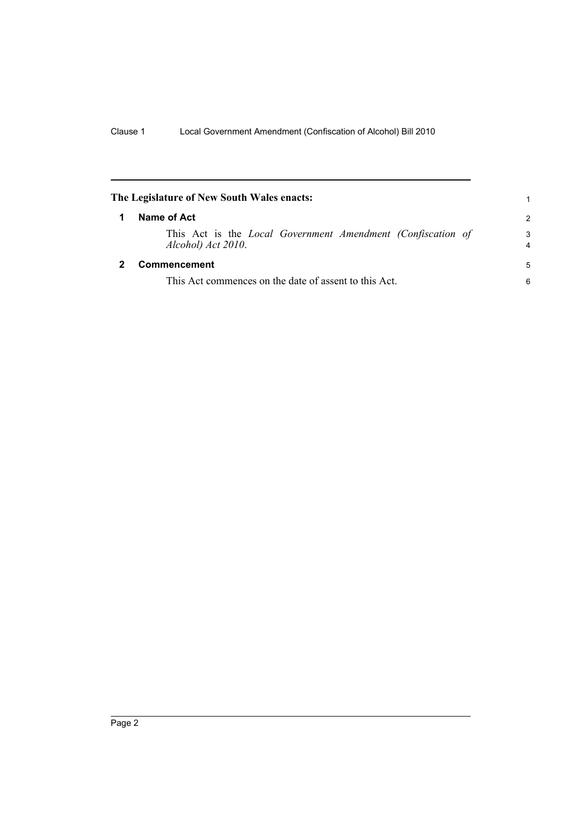<span id="page-3-1"></span><span id="page-3-0"></span>

| The Legislature of New South Wales enacts:                                               |                     |
|------------------------------------------------------------------------------------------|---------------------|
| Name of Act                                                                              | $\mathcal{P}$       |
| This Act is the <i>Local Government Amendment (Confiscation of</i><br>Alcohol) Act 2010. | 3<br>$\overline{4}$ |
| Commencement                                                                             | 5                   |
| This Act commences on the date of assent to this Act.                                    | 6                   |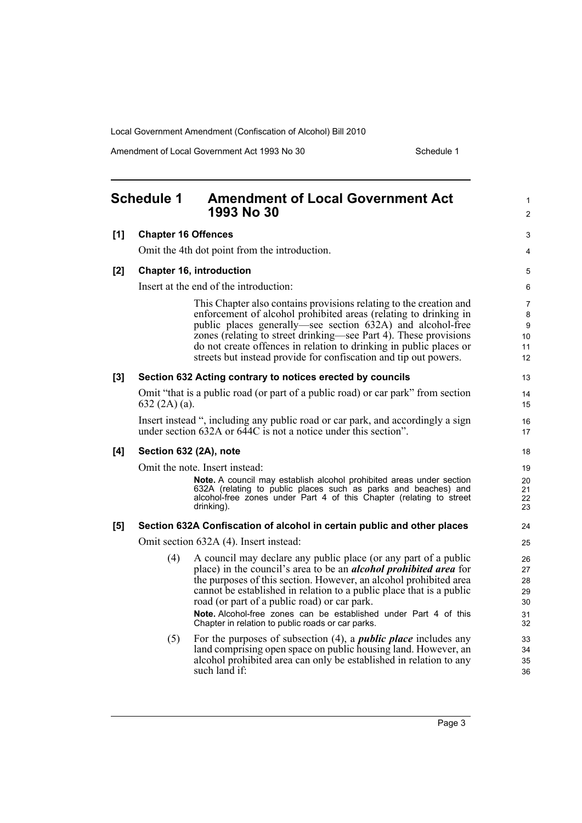Local Government Amendment (Confiscation of Alcohol) Bill 2010

Amendment of Local Government Act 1993 No 30 Schedule 1

<span id="page-4-0"></span>

|     | <b>Schedule 1</b>                                          | <b>Amendment of Local Government Act</b><br>1993 No 30                                                                                                                                                                                                                                                                                                                                                                                                                   | 1<br>$\overline{2}$                                     |
|-----|------------------------------------------------------------|--------------------------------------------------------------------------------------------------------------------------------------------------------------------------------------------------------------------------------------------------------------------------------------------------------------------------------------------------------------------------------------------------------------------------------------------------------------------------|---------------------------------------------------------|
| [1] | <b>Chapter 16 Offences</b>                                 |                                                                                                                                                                                                                                                                                                                                                                                                                                                                          | 3                                                       |
|     |                                                            | Omit the 4th dot point from the introduction.                                                                                                                                                                                                                                                                                                                                                                                                                            | 4                                                       |
| [2] |                                                            | <b>Chapter 16, introduction</b>                                                                                                                                                                                                                                                                                                                                                                                                                                          | 5                                                       |
|     |                                                            | Insert at the end of the introduction:                                                                                                                                                                                                                                                                                                                                                                                                                                   | 6                                                       |
|     |                                                            | This Chapter also contains provisions relating to the creation and<br>enforcement of alcohol prohibited areas (relating to drinking in<br>public places generally—see section 632A) and alcohol-free<br>zones (relating to street drinking—see Part 4). These provisions<br>do not create offences in relation to drinking in public places or<br>streets but instead provide for confiscation and tip out powers.                                                       | $\overline{7}$<br>8<br>9<br>10 <sup>°</sup><br>11<br>12 |
| [3] | Section 632 Acting contrary to notices erected by councils |                                                                                                                                                                                                                                                                                                                                                                                                                                                                          | 13                                                      |
|     | $632(2A)(a)$ .                                             | Omit "that is a public road (or part of a public road) or car park" from section                                                                                                                                                                                                                                                                                                                                                                                         | 14<br>15                                                |
|     |                                                            | Insert instead ", including any public road or car park, and accordingly a sign<br>under section 632A or 644C is not a notice under this section".                                                                                                                                                                                                                                                                                                                       | 16<br>17                                                |
| [4] |                                                            | Section 632 (2A), note                                                                                                                                                                                                                                                                                                                                                                                                                                                   | 18                                                      |
|     | Omit the note. Insert instead:                             |                                                                                                                                                                                                                                                                                                                                                                                                                                                                          | 19                                                      |
|     |                                                            | Note. A council may establish alcohol prohibited areas under section<br>632A (relating to public places such as parks and beaches) and<br>alcohol-free zones under Part 4 of this Chapter (relating to street<br>drinking).                                                                                                                                                                                                                                              | 20<br>21<br>22<br>23                                    |
| [5] |                                                            | Section 632A Confiscation of alcohol in certain public and other places                                                                                                                                                                                                                                                                                                                                                                                                  | 24                                                      |
|     |                                                            | Omit section 632A (4). Insert instead:                                                                                                                                                                                                                                                                                                                                                                                                                                   | 25                                                      |
|     | (4)                                                        | A council may declare any public place (or any part of a public<br>place) in the council's area to be an <i>alcohol prohibited area</i> for<br>the purposes of this section. However, an alcohol prohibited area<br>cannot be established in relation to a public place that is a public<br>road (or part of a public road) or car park.<br><b>Note, Alcohol-free zones can be established under Part 4 of this</b><br>Chapter in relation to public roads or car parks. | 26<br>27<br>28<br>29<br>30<br>31<br>32                  |
|     | (5)                                                        | For the purposes of subsection $(4)$ , a <i>public place</i> includes any<br>land comprising open space on public housing land. However, an<br>alcohol prohibited area can only be established in relation to any<br>such land if:                                                                                                                                                                                                                                       | 33<br>34<br>35<br>36                                    |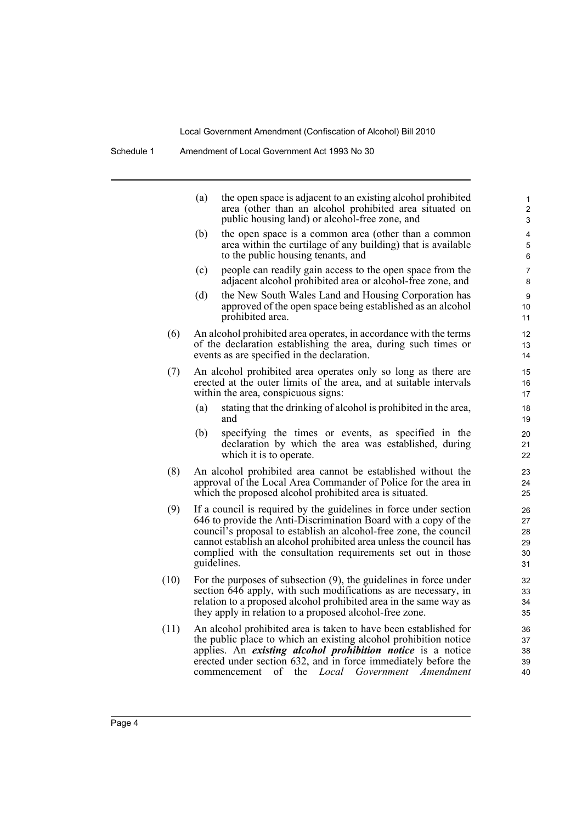Local Government Amendment (Confiscation of Alcohol) Bill 2010

|      | (a)                                                                                                                                                                                                                                                                                                                                                            | the open space is adjacent to an existing alcohol prohibited<br>area (other than an alcohol prohibited area situated on<br>public housing land) or alcohol-free zone, and                                                                                                                                                        | 1<br>$\boldsymbol{2}$<br>3       |
|------|----------------------------------------------------------------------------------------------------------------------------------------------------------------------------------------------------------------------------------------------------------------------------------------------------------------------------------------------------------------|----------------------------------------------------------------------------------------------------------------------------------------------------------------------------------------------------------------------------------------------------------------------------------------------------------------------------------|----------------------------------|
|      | (b)                                                                                                                                                                                                                                                                                                                                                            | the open space is a common area (other than a common<br>area within the curtilage of any building) that is available<br>to the public housing tenants, and                                                                                                                                                                       | 4<br>5<br>6                      |
|      | (c)                                                                                                                                                                                                                                                                                                                                                            | people can readily gain access to the open space from the<br>adjacent alcohol prohibited area or alcohol-free zone, and                                                                                                                                                                                                          | 7<br>8                           |
|      | (d)                                                                                                                                                                                                                                                                                                                                                            | the New South Wales Land and Housing Corporation has<br>approved of the open space being established as an alcohol<br>prohibited area.                                                                                                                                                                                           | 9<br>10<br>11                    |
| (6)  | An alcohol prohibited area operates, in accordance with the terms<br>of the declaration establishing the area, during such times or<br>events as are specified in the declaration.                                                                                                                                                                             |                                                                                                                                                                                                                                                                                                                                  | 12<br>13<br>14                   |
| (7)  |                                                                                                                                                                                                                                                                                                                                                                | An alcohol prohibited area operates only so long as there are<br>erected at the outer limits of the area, and at suitable intervals<br>within the area, conspicuous signs:                                                                                                                                                       | 15<br>16<br>17                   |
|      | (a)                                                                                                                                                                                                                                                                                                                                                            | stating that the drinking of alcohol is prohibited in the area,<br>and                                                                                                                                                                                                                                                           | 18<br>19                         |
|      | (b)                                                                                                                                                                                                                                                                                                                                                            | specifying the times or events, as specified in the<br>declaration by which the area was established, during<br>which it is to operate.                                                                                                                                                                                          | 20<br>21<br>22                   |
| (8)  | An alcohol prohibited area cannot be established without the<br>approval of the Local Area Commander of Police for the area in<br>which the proposed alcohol prohibited area is situated.                                                                                                                                                                      |                                                                                                                                                                                                                                                                                                                                  | 23<br>24<br>25                   |
| (9)  | If a council is required by the guidelines in force under section<br>646 to provide the Anti-Discrimination Board with a copy of the<br>council's proposal to establish an alcohol-free zone, the council<br>cannot establish an alcohol prohibited area unless the council has<br>complied with the consultation requirements set out in those<br>guidelines. |                                                                                                                                                                                                                                                                                                                                  | 26<br>27<br>28<br>29<br>30<br>31 |
| (10) |                                                                                                                                                                                                                                                                                                                                                                | For the purposes of subsection $(9)$ , the guidelines in force under<br>section 646 apply, with such modifications as are necessary, in<br>relation to a proposed alcohol prohibited area in the same way as<br>they apply in relation to a proposed alcohol-free zone.                                                          | 32<br>33<br>34<br>35             |
| (11) |                                                                                                                                                                                                                                                                                                                                                                | An alcohol prohibited area is taken to have been established for<br>the public place to which an existing alcohol prohibition notice<br>applies. An existing alcohol prohibition notice is a notice<br>erected under section 632, and in force immediately before the<br>of<br>Local Government Amendment<br>the<br>commencement | 36<br>37<br>38<br>39<br>40       |